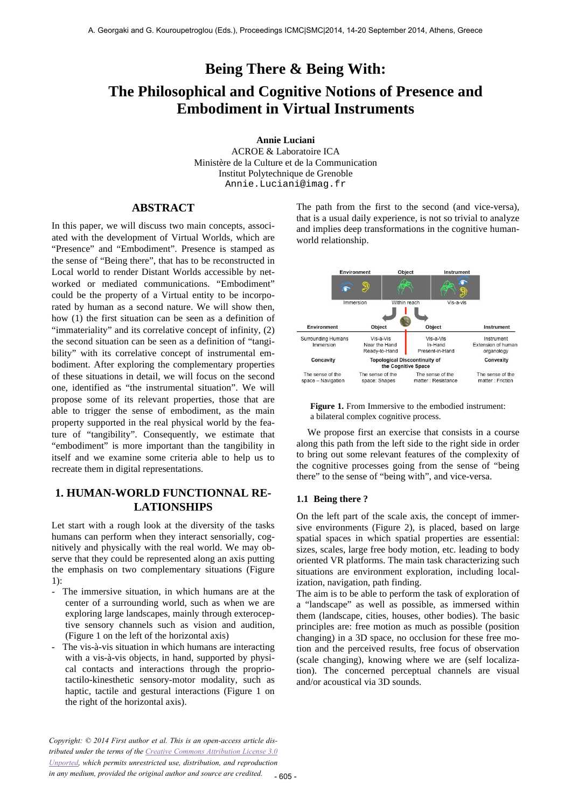# **Being There & Being With: The Philosophical and Cognitive Notions of Presence and Embodiment in Virtual Instruments**

**Annie Luciani**

ACROE & Laboratoire ICA Ministère de la Culture et de la Communication Institut Polytechnique de Grenoble Annie.Luciani@imag.fr

## **ABSTRACT**

In this paper, we will discuss two main concepts, associated with the development of Virtual Worlds, which are "Presence" and "Embodiment". Presence is stamped as the sense of "Being there", that has to be reconstructed in Local world to render Distant Worlds accessible by networked or mediated communications. "Embodiment" could be the property of a Virtual entity to be incorporated by human as a second nature. We will show then, how (1) the first situation can be seen as a definition of "immateriality" and its correlative concept of infinity, (2) the second situation can be seen as a definition of "tangibility" with its correlative concept of instrumental embodiment. After exploring the complementary properties of these situations in detail, we will focus on the second one, identified as "the instrumental situation". We will propose some of its relevant properties, those that are able to trigger the sense of embodiment, as the main property supported in the real physical world by the feature of "tangibility". Consequently, we estimate that "embodiment" is more important than the tangibility in itself and we examine some criteria able to help us to recreate them in digital representations.

# **1. HUMAN-WORLD FUNCTIONNAL RE-LATIONSHIPS**

Let start with a rough look at the diversity of the tasks humans can perform when they interact sensorially, cognitively and physically with the real world. We may observe that they could be represented along an axis putting the emphasis on two complementary situations (Figure 1):

- The immersive situation, in which humans are at the center of a surrounding world, such as when we are exploring large landscapes, mainly through exteroceptive sensory channels such as vision and audition, (Figure 1 on the left of the horizontal axis)
- The vis-à-vis situation in which humans are interacting with a vis-à-vis objects, in hand, supported by physical contacts and interactions through the propriotactilo-kinesthetic sensory-motor modality, such as haptic, tactile and gestural interactions (Figure 1 on the right of the horizontal axis).

The path from the first to the second (and vice-versa), that is a usual daily experience, is not so trivial to analyze and implies deep transformations in the cognitive humanworld relationship.





We propose first an exercise that consists in a course along this path from the left side to the right side in order to bring out some relevant features of the complexity of the cognitive processes going from the sense of "being there" to the sense of "being with", and vice-versa.

#### **1.1 Being there ?**

On the left part of the scale axis, the concept of immersive environments (Figure 2), is placed, based on large spatial spaces in which spatial properties are essential: sizes, scales, large free body motion, etc. leading to body oriented VR platforms. The main task characterizing such situations are environment exploration, including localization, navigation, path finding.

The aim is to be able to perform the task of exploration of a "landscape" as well as possible, as immersed within them (landscape, cities, houses, other bodies). The basic principles are: free motion as much as possible (position changing) in a 3D space, no occlusion for these free motion and the perceived results, free focus of observation (scale changing), knowing where we are (self localization). The concerned perceptual channels are visual and/or acoustical via 3D sounds.

*Copyright: © 2014 First author et al. This is an open-access article distributed under the terms of the Creative Commons Attribution License 3.0 Unported, which permits unrestricted use, distribution, and reproduction in any medium, provided the original author and source are credited.*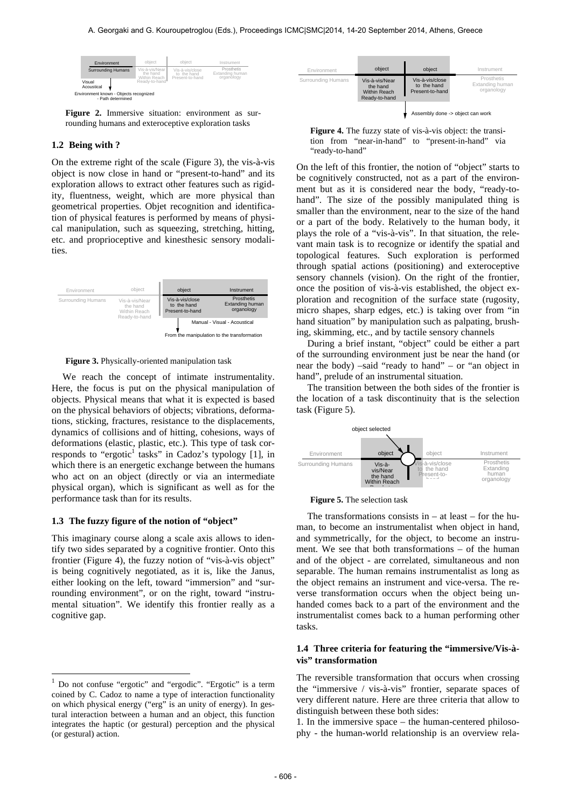| Environment<br><b>Surrounding Humans</b>                                            | object<br>Vis-à-vis/Near<br>the hand | object<br>Vis-à-vis/close<br>to the hand | Instrument<br>Prosthetis<br>Extanding human | Environment        | object                                                             | object                                            | Instrument                                  |
|-------------------------------------------------------------------------------------|--------------------------------------|------------------------------------------|---------------------------------------------|--------------------|--------------------------------------------------------------------|---------------------------------------------------|---------------------------------------------|
| Visual<br>Acoustical<br>Environment known - Objects recognized<br>- Path determined | Within Reach<br>Ready-to-hand"       | Present-to-hand                          | organology                                  | Surrounding Humans | Vis-à-vis/Near<br>the hand<br><b>Within Reach</b><br>Ready-to-hand | Vis-à-vis/close<br>to the hand<br>Present-to-hand | Prosthetis<br>Extanding human<br>organology |

**Figure 2.** Immersive situation: environment as surrounding humans and exteroceptive exploration tasks

#### **1.2 Being with ?**

On the extreme right of the scale (Figure 3), the vis-à-vis object is now close in hand or "present-to-hand" and its exploration allows to extract other features such as rigidity, fluentness, weight, which are more physical than geometrical properties. Objet recognition and identification of physical features is performed by means of physical manipulation, such as squeezing, stretching, hitting, etc. and proprioceptive and kinesthesic sensory modalities.



**Figure 3.** Physically-oriented manipulation task

We reach the concept of intimate instrumentality. Here, the focus is put on the physical manipulation of objects. Physical means that what it is expected is based on the physical behaviors of objects; vibrations, deformations, sticking, fractures, resistance to the displacements, dynamics of collisions and of hitting, cohesions, ways of deformations (elastic, plastic, etc.). This type of task corresponds to "ergotic<sup>1</sup> tasks" in Cadoz's typology [1], in which there is an energetic exchange between the humans who act on an object (directly or via an intermediate physical organ), which is significant as well as for the performance task than for its results.

#### **1.3 The fuzzy figure of the notion of "object"**

This imaginary course along a scale axis allows to identify two sides separated by a cognitive frontier. Onto this frontier (Figure 4), the fuzzy notion of "vis-à-vis object" is being cognitively negotiated, as it is, like the Janus, either looking on the left, toward "immersion" and "surrounding environment", or on the right, toward "instrumental situation". We identify this frontier really as a cognitive gap.



On the left of this frontier, the notion of "object" starts to be cognitively constructed, not as a part of the environment but as it is considered near the body, "ready-tohand". The size of the possibly manipulated thing is smaller than the environment, near to the size of the hand or a part of the body. Relatively to the human body, it plays the role of a "vis-à-vis". In that situation, the relevant main task is to recognize or identify the spatial and topological features. Such exploration is performed through spatial actions (positioning) and exteroceptive sensory channels (vision). On the right of the frontier, once the position of vis-à-vis established, the object exploration and recognition of the surface state (rugosity, micro shapes, sharp edges, etc.) is taking over from "in hand situation" by manipulation such as palpating, brushing, skimming, etc., and by tactile sensory channels

During a brief instant, "object" could be either a part of the surrounding environment just be near the hand (or near the body) –said "ready to hand" – or "an object in hand", prelude of an instrumental situation.

The transition between the both sides of the frontier is the location of a task discontinuity that is the selection task (Figure 5).



#### **Figure 5.** The selection task

The transformations consists in  $-$  at least  $-$  for the human, to become an instrumentalist when object in hand, and symmetrically, for the object, to become an instrument. We see that both transformations – of the human and of the object - are correlated, simultaneous and non separable. The human remains instrumentalist as long as the object remains an instrument and vice-versa. The reverse transformation occurs when the object being unhanded comes back to a part of the environment and the instrumentalist comes back to a human performing other tasks.

#### **1.4 Three criteria for featuring the "immersive/Vis-àvis" transformation**

The reversible transformation that occurs when crossing the "immersive / vis-à-vis" frontier, separate spaces of very different nature. Here are three criteria that allow to distinguish between these both sides:

1. In the immersive space – the human-centered philosophy - the human-world relationship is an overview rela-

 $\mathbf{1}$ <sup>1</sup> Do not confuse "ergotic" and "ergodic". "Ergotic" is a term coined by C. Cadoz to name a type of interaction functionality on which physical energy ("erg" is an unity of energy). In gestural interaction between a human and an object, this function integrates the haptic (or gestural) perception and the physical (or gestural) action.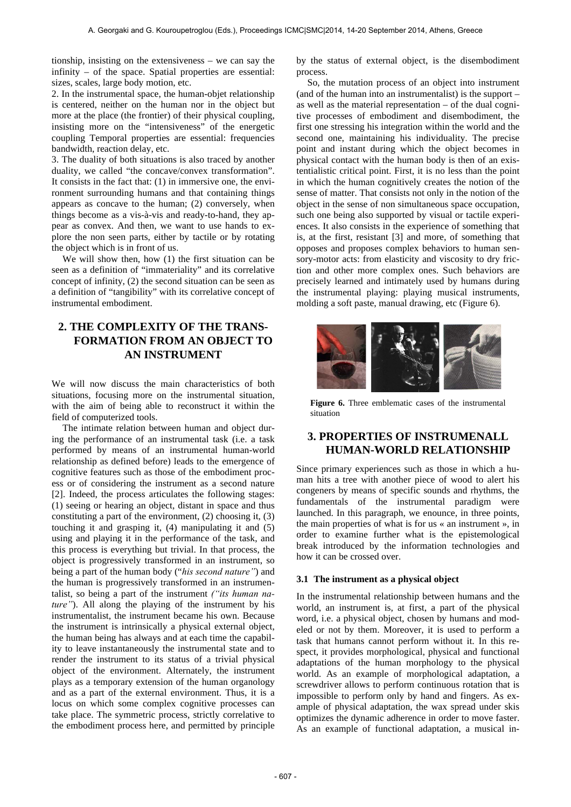tionship, insisting on the extensiveness – we can say the infinity – of the space. Spatial properties are essential: sizes, scales, large body motion, etc.

2. In the instrumental space, the human-objet relationship is centered, neither on the human nor in the object but more at the place (the frontier) of their physical coupling, insisting more on the "intensiveness" of the energetic coupling Temporal properties are essential: frequencies bandwidth, reaction delay, etc.

3. The duality of both situations is also traced by another duality, we called "the concave/convex transformation". It consists in the fact that: (1) in immersive one, the environment surrounding humans and that containing things appears as concave to the human; (2) conversely, when things become as a vis-à-vis and ready-to-hand, they appear as convex. And then, we want to use hands to explore the non seen parts, either by tactile or by rotating the object which is in front of us.

We will show then, how (1) the first situation can be seen as a definition of "immateriality" and its correlative concept of infinity, (2) the second situation can be seen as a definition of "tangibility" with its correlative concept of instrumental embodiment.

# **2. THE COMPLEXITY OF THE TRANS-FORMATION FROM AN OBJECT TO AN INSTRUMENT**

We will now discuss the main characteristics of both situations, focusing more on the instrumental situation, with the aim of being able to reconstruct it within the field of computerized tools.

The intimate relation between human and object during the performance of an instrumental task (i.e. a task performed by means of an instrumental human-world relationship as defined before) leads to the emergence of cognitive features such as those of the embodiment process or of considering the instrument as a second nature [2]. Indeed, the process articulates the following stages: (1) seeing or hearing an object, distant in space and thus constituting a part of the environment, (2) choosing it, (3) touching it and grasping it, (4) manipulating it and (5) using and playing it in the performance of the task, and this process is everything but trivial. In that process, the object is progressively transformed in an instrument, so being a part of the human body ("*his second nature"*) and the human is progressively transformed in an instrumentalist, so being a part of the instrument *("its human nature"*). All along the playing of the instrument by his instrumentalist, the instrument became his own. Because the instrument is intrinsically a physical external object, the human being has always and at each time the capability to leave instantaneously the instrumental state and to render the instrument to its status of a trivial physical object of the environment. Alternately, the instrument plays as a temporary extension of the human organology and as a part of the external environment. Thus, it is a locus on which some complex cognitive processes can take place. The symmetric process, strictly correlative to the embodiment process here, and permitted by principle by the status of external object, is the disembodiment process.

So, the mutation process of an object into instrument (and of the human into an instrumentalist) is the support – as well as the material representation – of the dual cognitive processes of embodiment and disembodiment, the first one stressing his integration within the world and the second one, maintaining his individuality. The precise point and instant during which the object becomes in physical contact with the human body is then of an existentialistic critical point. First, it is no less than the point in which the human cognitively creates the notion of the sense of matter. That consists not only in the notion of the object in the sense of non simultaneous space occupation, such one being also supported by visual or tactile experiences. It also consists in the experience of something that is, at the first, resistant [3] and more, of something that opposes and proposes complex behaviors to human sensory-motor acts: from elasticity and viscosity to dry friction and other more complex ones. Such behaviors are precisely learned and intimately used by humans during the instrumental playing: playing musical instruments, molding a soft paste, manual drawing, etc (Figure 6).



**Figure 6.** Three emblematic cases of the instrumental situation

# **3. PROPERTIES OF INSTRUMENALL HUMAN-WORLD RELATIONSHIP**

Since primary experiences such as those in which a human hits a tree with another piece of wood to alert his congeners by means of specific sounds and rhythms, the fundamentals of the instrumental paradigm were launched. In this paragraph, we enounce, in three points, the main properties of what is for us « an instrument », in order to examine further what is the epistemological break introduced by the information technologies and how it can be crossed over.

#### **3.1 The instrument as a physical object**

In the instrumental relationship between humans and the world, an instrument is, at first, a part of the physical word, i.e. a physical object, chosen by humans and modeled or not by them. Moreover, it is used to perform a task that humans cannot perform without it. In this respect, it provides morphological, physical and functional adaptations of the human morphology to the physical world. As an example of morphological adaptation, a screwdriver allows to perform continuous rotation that is impossible to perform only by hand and fingers. As example of physical adaptation, the wax spread under skis optimizes the dynamic adherence in order to move faster. As an example of functional adaptation, a musical in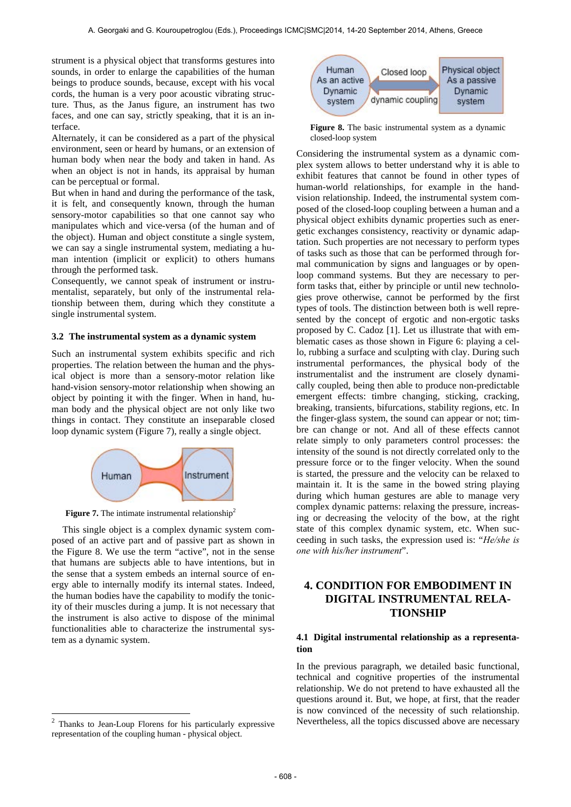strument is a physical object that transforms gestures into sounds, in order to enlarge the capabilities of the human beings to produce sounds, because, except with his vocal cords, the human is a very poor acoustic vibrating structure. Thus, as the Janus figure, an instrument has two faces, and one can say, strictly speaking, that it is an interface.

Alternately, it can be considered as a part of the physical environment, seen or heard by humans, or an extension of human body when near the body and taken in hand. As when an object is not in hands, its appraisal by human can be perceptual or formal.

But when in hand and during the performance of the task, it is felt, and consequently known, through the human sensory-motor capabilities so that one cannot say who manipulates which and vice-versa (of the human and of the object). Human and object constitute a single system, we can say a single instrumental system, mediating a human intention (implicit or explicit) to others humans through the performed task.

Consequently, we cannot speak of instrument or instrumentalist, separately, but only of the instrumental relationship between them, during which they constitute a single instrumental system.

#### **3.2 The instrumental system as a dynamic system**

Such an instrumental system exhibits specific and rich properties. The relation between the human and the physical object is more than a sensory-motor relation like hand-vision sensory-motor relationship when showing an object by pointing it with the finger. When in hand, human body and the physical object are not only like two things in contact. They constitute an inseparable closed loop dynamic system (Figure 7), really a single object.



**Figure 7.** The intimate instrumental relationship<sup>2</sup>

This single object is a complex dynamic system composed of an active part and of passive part as shown in the Figure 8. We use the term "active", not in the sense that humans are subjects able to have intentions, but in the sense that a system embeds an internal source of energy able to internally modify its internal states. Indeed, the human bodies have the capability to modify the tonicity of their muscles during a jump. It is not necessary that the instrument is also active to dispose of the minimal functionalities able to characterize the instrumental system as a dynamic system.

l



**Figure 8.** The basic instrumental system as a dynamic closed-loop system

Considering the instrumental system as a dynamic complex system allows to better understand why it is able to exhibit features that cannot be found in other types of human-world relationships, for example in the handvision relationship. Indeed, the instrumental system composed of the closed-loop coupling between a human and a physical object exhibits dynamic properties such as energetic exchanges consistency, reactivity or dynamic adaptation. Such properties are not necessary to perform types of tasks such as those that can be performed through formal communication by signs and languages or by openloop command systems. But they are necessary to perform tasks that, either by principle or until new technologies prove otherwise, cannot be performed by the first types of tools. The distinction between both is well represented by the concept of ergotic and non-ergotic tasks proposed by C. Cadoz [1]. Let us illustrate that with emblematic cases as those shown in Figure 6: playing a cello, rubbing a surface and sculpting with clay. During such instrumental performances, the physical body of the instrumentalist and the instrument are closely dynamically coupled, being then able to produce non-predictable emergent effects: timbre changing, sticking, cracking, breaking, transients, bifurcations, stability regions, etc. In the finger-glass system, the sound can appear or not; timbre can change or not. And all of these effects cannot relate simply to only parameters control processes: the intensity of the sound is not directly correlated only to the pressure force or to the finger velocity. When the sound is started, the pressure and the velocity can be relaxed to maintain it. It is the same in the bowed string playing during which human gestures are able to manage very complex dynamic patterns: relaxing the pressure, increasing or decreasing the velocity of the bow, at the right state of this complex dynamic system, etc. When succeeding in such tasks, the expression used is: "*He/she is one with his/her instrument*".

# **4. CONDITION FOR EMBODIMENT IN DIGITAL INSTRUMENTAL RELA-TIONSHIP**

#### **4.1 Digital instrumental relationship as a representation**

In the previous paragraph, we detailed basic functional, technical and cognitive properties of the instrumental relationship. We do not pretend to have exhausted all the questions around it. But, we hope, at first, that the reader is now convinced of the necessity of such relationship. Nevertheless, all the topics discussed above are necessary

Thanks to Jean-Loup Florens for his particularly expressive representation of the coupling human - physical object.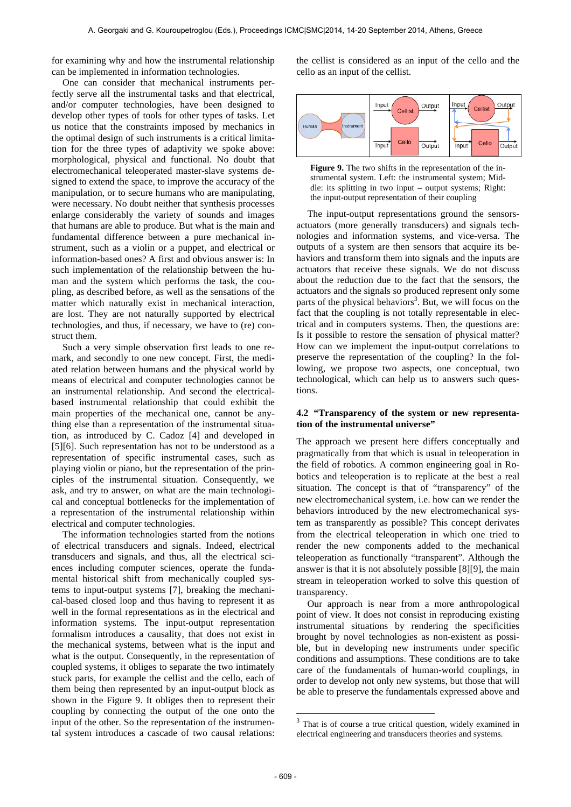for examining why and how the instrumental relationship can be implemented in information technologies.

One can consider that mechanical instruments perfectly serve all the instrumental tasks and that electrical, and/or computer technologies, have been designed to develop other types of tools for other types of tasks. Let us notice that the constraints imposed by mechanics in the optimal design of such instruments is a critical limitation for the three types of adaptivity we spoke above: morphological, physical and functional. No doubt that electromechanical teleoperated master-slave systems designed to extend the space, to improve the accuracy of the manipulation, or to secure humans who are manipulating, were necessary. No doubt neither that synthesis processes enlarge considerably the variety of sounds and images that humans are able to produce. But what is the main and fundamental difference between a pure mechanical instrument, such as a violin or a puppet, and electrical or information-based ones? A first and obvious answer is: In such implementation of the relationship between the human and the system which performs the task, the coupling, as described before, as well as the sensations of the matter which naturally exist in mechanical interaction, are lost. They are not naturally supported by electrical technologies, and thus, if necessary, we have to (re) construct them.

Such a very simple observation first leads to one remark, and secondly to one new concept. First, the mediated relation between humans and the physical world by means of electrical and computer technologies cannot be an instrumental relationship. And second the electricalbased instrumental relationship that could exhibit the main properties of the mechanical one, cannot be anything else than a representation of the instrumental situation, as introduced by C. Cadoz [4] and developed in [5][6]. Such representation has not to be understood as a representation of specific instrumental cases, such as playing violin or piano, but the representation of the principles of the instrumental situation. Consequently, we ask, and try to answer, on what are the main technological and conceptual bottlenecks for the implementation of a representation of the instrumental relationship within electrical and computer technologies.

The information technologies started from the notions of electrical transducers and signals. Indeed, electrical transducers and signals, and thus, all the electrical sciences including computer sciences, operate the fundamental historical shift from mechanically coupled systems to input-output systems [7], breaking the mechanical-based closed loop and thus having to represent it as well in the formal representations as in the electrical and information systems. The input-output representation formalism introduces a causality, that does not exist in the mechanical systems, between what is the input and what is the output. Consequently, in the representation of coupled systems, it obliges to separate the two intimately stuck parts, for example the cellist and the cello, each of them being then represented by an input-output block as shown in the Figure 9. It obliges then to represent their coupling by connecting the output of the one onto the input of the other. So the representation of the instrumental system introduces a cascade of two causal relations: the cellist is considered as an input of the cello and the cello as an input of the cellist.



**Figure 9.** The two shifts in the representation of the instrumental system. Left: the instrumental system; Middle: its splitting in two input – output systems; Right: the input-output representation of their coupling

The input-output representations ground the sensorsactuators (more generally transducers) and signals technologies and information systems, and vice-versa. The outputs of a system are then sensors that acquire its behaviors and transform them into signals and the inputs are actuators that receive these signals. We do not discuss about the reduction due to the fact that the sensors, the actuators and the signals so produced represent only some parts of the physical behaviors<sup>3</sup>. But, we will focus on the fact that the coupling is not totally representable in electrical and in computers systems. Then, the questions are: Is it possible to restore the sensation of physical matter? How can we implement the input-output correlations to preserve the representation of the coupling? In the following, we propose two aspects, one conceptual, two technological, which can help us to answers such questions.

### **4.2 "Transparency of the system or new representation of the instrumental universe"**

The approach we present here differs conceptually and pragmatically from that which is usual in teleoperation in the field of robotics. A common engineering goal in Robotics and teleoperation is to replicate at the best a real situation. The concept is that of "transparency" of the new electromechanical system, i.e. how can we render the behaviors introduced by the new electromechanical system as transparently as possible? This concept derivates from the electrical teleoperation in which one tried to render the new components added to the mechanical teleoperation as functionally "transparent". Although the answer is that it is not absolutely possible [8][9], the main stream in teleoperation worked to solve this question of transparency.

Our approach is near from a more anthropological point of view. It does not consist in reproducing existing instrumental situations by rendering the specificities brought by novel technologies as non-existent as possible, but in developing new instruments under specific conditions and assumptions. These conditions are to take care of the fundamentals of human-world couplings, in order to develop not only new systems, but those that will be able to preserve the fundamentals expressed above and

1

 $3$  That is of course a true critical question, widely examined in electrical engineering and transducers theories and systems.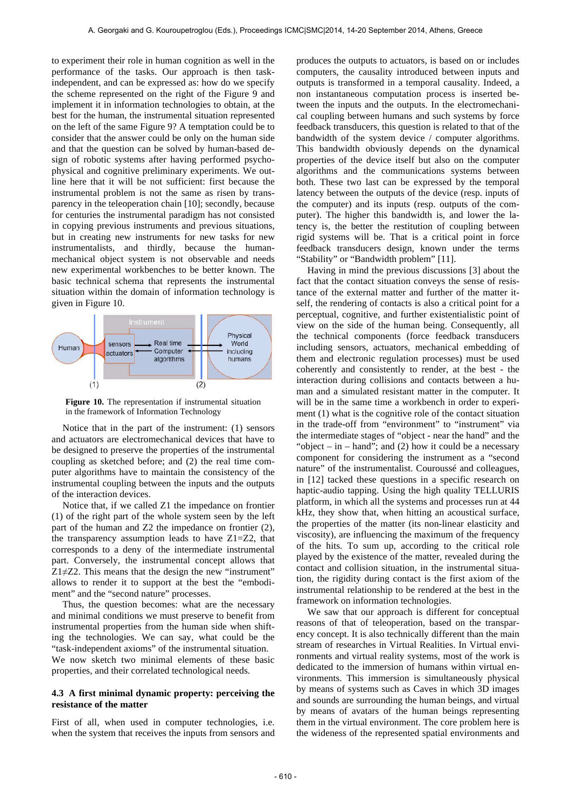to experiment their role in human cognition as well in the performance of the tasks. Our approach is then taskindependent, and can be expressed as: how do we specify the scheme represented on the right of the Figure 9 and implement it in information technologies to obtain, at the best for the human, the instrumental situation represented on the left of the same Figure 9? A temptation could be to consider that the answer could be only on the human side and that the question can be solved by human-based design of robotic systems after having performed psychophysical and cognitive preliminary experiments. We outline here that it will be not sufficient: first because the instrumental problem is not the same as risen by transparency in the teleoperation chain [10]; secondly, because for centuries the instrumental paradigm has not consisted in copying previous instruments and previous situations, but in creating new instruments for new tasks for new instrumentalists, and thirdly, because the humanmechanical object system is not observable and needs new experimental workbenches to be better known. The basic technical schema that represents the instrumental situation within the domain of information technology is given in Figure 10.



**Figure 10.** The representation if instrumental situation in the framework of Information Technology

Notice that in the part of the instrument: (1) sensors and actuators are electromechanical devices that have to be designed to preserve the properties of the instrumental coupling as sketched before; and (2) the real time computer algorithms have to maintain the consistency of the instrumental coupling between the inputs and the outputs of the interaction devices.

Notice that, if we called Z1 the impedance on frontier (1) of the right part of the whole system seen by the left part of the human and Z2 the impedance on frontier (2), the transparency assumption leads to have Z1=Z2, that corresponds to a deny of the intermediate instrumental part. Conversely, the instrumental concept allows that  $Z1\neq Z2$ . This means that the design the new "instrument" allows to render it to support at the best the "embodiment" and the "second nature" processes.

Thus, the question becomes: what are the necessary and minimal conditions we must preserve to benefit from instrumental properties from the human side when shifting the technologies. We can say, what could be the "task-independent axioms" of the instrumental situation. We now sketch two minimal elements of these basic properties, and their correlated technological needs.

#### **4.3 A first minimal dynamic property: perceiving the resistance of the matter**

First of all, when used in computer technologies, i.e. when the system that receives the inputs from sensors and produces the outputs to actuators, is based on or includes computers, the causality introduced between inputs and outputs is transformed in a temporal causality. Indeed, a non instantaneous computation process is inserted between the inputs and the outputs. In the electromechanical coupling between humans and such systems by force feedback transducers, this question is related to that of the bandwidth of the system device / computer algorithms. This bandwidth obviously depends on the dynamical properties of the device itself but also on the computer algorithms and the communications systems between both. These two last can be expressed by the temporal latency between the outputs of the device (resp. inputs of the computer) and its inputs (resp. outputs of the computer). The higher this bandwidth is, and lower the latency is, the better the restitution of coupling between rigid systems will be. That is a critical point in force feedback transducers design, known under the terms "Stability" or "Bandwidth problem" [11].

Having in mind the previous discussions [3] about the fact that the contact situation conveys the sense of resistance of the external matter and further of the matter itself, the rendering of contacts is also a critical point for a perceptual, cognitive, and further existentialistic point of view on the side of the human being. Consequently, all the technical components (force feedback transducers including sensors, actuators, mechanical embedding of them and electronic regulation processes) must be used coherently and consistently to render, at the best - the interaction during collisions and contacts between a human and a simulated resistant matter in the computer. It will be in the same time a workbench in order to experiment (1) what is the cognitive role of the contact situation in the trade-off from "environment" to "instrument" via the intermediate stages of "object - near the hand" and the "object – in – hand"; and  $(2)$  how it could be a necessary component for considering the instrument as a "second nature" of the instrumentalist. Couroussé and colleagues, in [12] tacked these questions in a specific research on haptic-audio tapping. Using the high quality TELLURIS platform, in which all the systems and processes run at 44 kHz, they show that, when hitting an acoustical surface, the properties of the matter (its non-linear elasticity and viscosity), are influencing the maximum of the frequency of the hits. To sum up, according to the critical role played by the existence of the matter, revealed during the contact and collision situation, in the instrumental situation, the rigidity during contact is the first axiom of the instrumental relationship to be rendered at the best in the framework on information technologies.

We saw that our approach is different for conceptual reasons of that of teleoperation, based on the transparency concept. It is also technically different than the main stream of researches in Virtual Realities. In Virtual environments and virtual reality systems, most of the work is dedicated to the immersion of humans within virtual environments. This immersion is simultaneously physical by means of systems such as Caves in which 3D images and sounds are surrounding the human beings, and virtual by means of avatars of the human beings representing them in the virtual environment. The core problem here is the wideness of the represented spatial environments and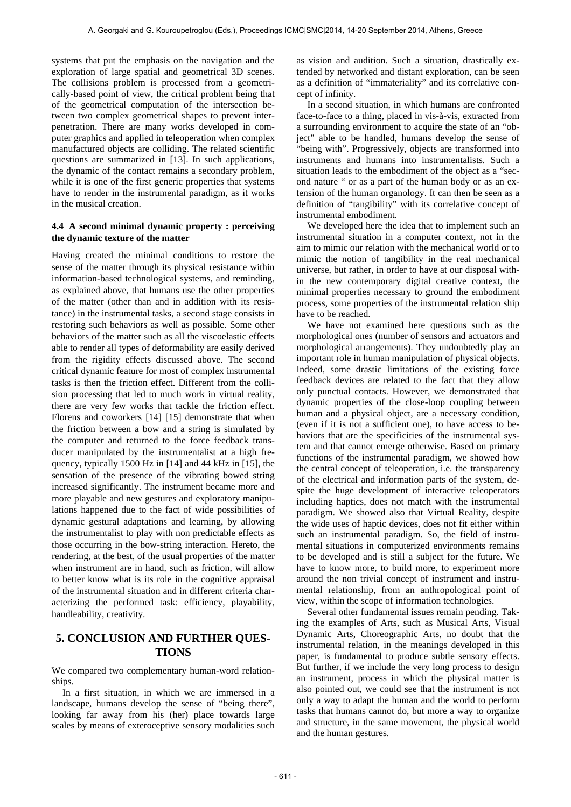systems that put the emphasis on the navigation and the exploration of large spatial and geometrical 3D scenes. The collisions problem is processed from a geometrically-based point of view, the critical problem being that of the geometrical computation of the intersection between two complex geometrical shapes to prevent interpenetration. There are many works developed in computer graphics and applied in teleoperation when complex manufactured objects are colliding. The related scientific questions are summarized in [13]. In such applications, the dynamic of the contact remains a secondary problem, while it is one of the first generic properties that systems have to render in the instrumental paradigm, as it works in the musical creation.

### **4.4 A second minimal dynamic property : perceiving the dynamic texture of the matter**

Having created the minimal conditions to restore the sense of the matter through its physical resistance within information-based technological systems, and reminding, as explained above, that humans use the other properties of the matter (other than and in addition with its resistance) in the instrumental tasks, a second stage consists in restoring such behaviors as well as possible. Some other behaviors of the matter such as all the viscoelastic effects able to render all types of deformability are easily derived from the rigidity effects discussed above. The second critical dynamic feature for most of complex instrumental tasks is then the friction effect. Different from the collision processing that led to much work in virtual reality, there are very few works that tackle the friction effect. Florens and coworkers [14] [15] demonstrate that when the friction between a bow and a string is simulated by the computer and returned to the force feedback transducer manipulated by the instrumentalist at a high frequency, typically 1500 Hz in [14] and 44 kHz in [15], the sensation of the presence of the vibrating bowed string increased significantly. The instrument became more and more playable and new gestures and exploratory manipulations happened due to the fact of wide possibilities of dynamic gestural adaptations and learning, by allowing the instrumentalist to play with non predictable effects as those occurring in the bow-string interaction. Hereto, the rendering, at the best, of the usual properties of the matter when instrument are in hand, such as friction, will allow to better know what is its role in the cognitive appraisal of the instrumental situation and in different criteria characterizing the performed task: efficiency, playability, handleability, creativity.

# **5. CONCLUSION AND FURTHER QUES-TIONS**

We compared two complementary human-word relationships.

In a first situation, in which we are immersed in a landscape, humans develop the sense of "being there", looking far away from his (her) place towards large scales by means of exteroceptive sensory modalities such as vision and audition. Such a situation, drastically extended by networked and distant exploration, can be seen as a definition of "immateriality" and its correlative concept of infinity.

In a second situation, in which humans are confronted face-to-face to a thing, placed in vis-à-vis, extracted from a surrounding environment to acquire the state of an "object" able to be handled, humans develop the sense of "being with". Progressively, objects are transformed into instruments and humans into instrumentalists. Such a situation leads to the embodiment of the object as a "second nature " or as a part of the human body or as an extension of the human organology. It can then be seen as a definition of "tangibility" with its correlative concept of instrumental embodiment.

We developed here the idea that to implement such an instrumental situation in a computer context, not in the aim to mimic our relation with the mechanical world or to mimic the notion of tangibility in the real mechanical universe, but rather, in order to have at our disposal within the new contemporary digital creative context, the minimal properties necessary to ground the embodiment process, some properties of the instrumental relation ship have to be reached.

We have not examined here questions such as the morphological ones (number of sensors and actuators and morphological arrangements). They undoubtedly play an important role in human manipulation of physical objects. Indeed, some drastic limitations of the existing force feedback devices are related to the fact that they allow only punctual contacts. However, we demonstrated that dynamic properties of the close-loop coupling between human and a physical object, are a necessary condition, (even if it is not a sufficient one), to have access to behaviors that are the specificities of the instrumental system and that cannot emerge otherwise. Based on primary functions of the instrumental paradigm, we showed how the central concept of teleoperation, i.e. the transparency of the electrical and information parts of the system, despite the huge development of interactive teleoperators including haptics, does not match with the instrumental paradigm. We showed also that Virtual Reality, despite the wide uses of haptic devices, does not fit either within such an instrumental paradigm. So, the field of instrumental situations in computerized environments remains to be developed and is still a subject for the future. We have to know more, to build more, to experiment more around the non trivial concept of instrument and instrumental relationship, from an anthropological point of view, within the scope of information technologies.

Several other fundamental issues remain pending. Taking the examples of Arts, such as Musical Arts, Visual Dynamic Arts, Choreographic Arts, no doubt that the instrumental relation, in the meanings developed in this paper, is fundamental to produce subtle sensory effects. But further, if we include the very long process to design an instrument, process in which the physical matter is also pointed out, we could see that the instrument is not only a way to adapt the human and the world to perform tasks that humans cannot do, but more a way to organize and structure, in the same movement, the physical world and the human gestures.